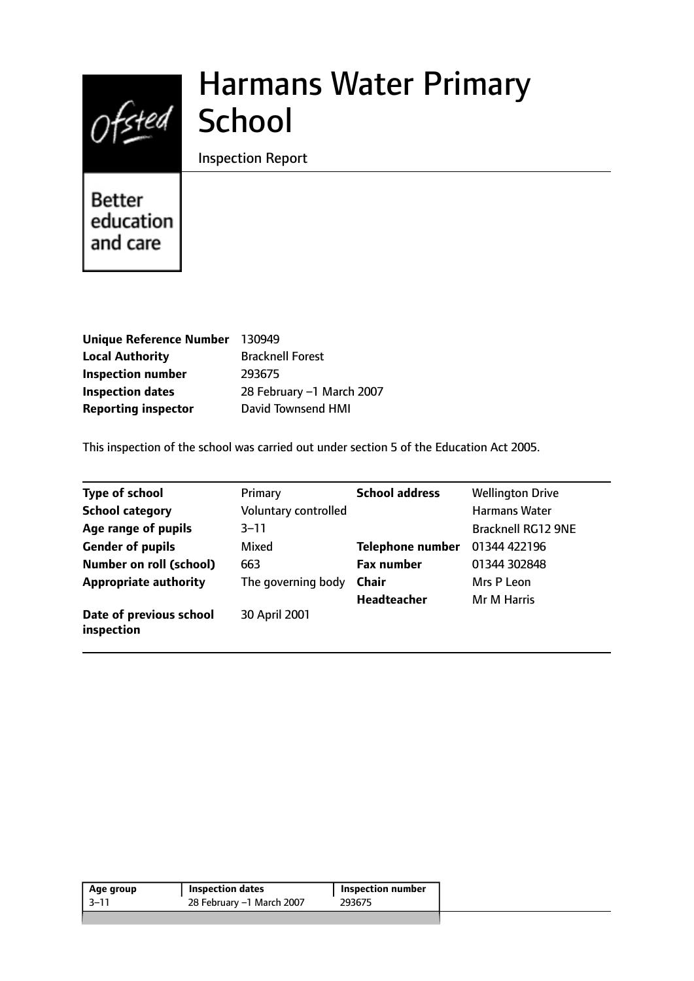

# Harmans Water Primary

Inspection Report

Better education and care

| Unique Reference Number 130949 |                           |
|--------------------------------|---------------------------|
| <b>Local Authority</b>         | <b>Bracknell Forest</b>   |
| <b>Inspection number</b>       | 293675                    |
| <b>Inspection dates</b>        | 28 February -1 March 2007 |
| <b>Reporting inspector</b>     | <b>David Townsend HMI</b> |

This inspection of the school was carried out under section 5 of the Education Act 2005.

| <b>Type of school</b>                 | Primary              | <b>School address</b>   | <b>Wellington Drive</b>   |
|---------------------------------------|----------------------|-------------------------|---------------------------|
| <b>School category</b>                | Voluntary controlled |                         | <b>Harmans Water</b>      |
| Age range of pupils                   | $3 - 11$             |                         | <b>Bracknell RG12 9NE</b> |
| <b>Gender of pupils</b>               | Mixed                | <b>Telephone number</b> | 01344 422196              |
| <b>Number on roll (school)</b>        | 663                  | <b>Fax number</b>       | 01344 302848              |
| <b>Appropriate authority</b>          | The governing body   | <b>Chair</b>            | Mrs P Leon                |
|                                       |                      | <b>Headteacher</b>      | Mr M Harris               |
| Date of previous school<br>inspection | 30 April 2001        |                         |                           |

| Age group | Inspection dates          | Inspection number |
|-----------|---------------------------|-------------------|
| $-3 - 11$ | 28 February –1 March 2007 | 293675            |
|           |                           |                   |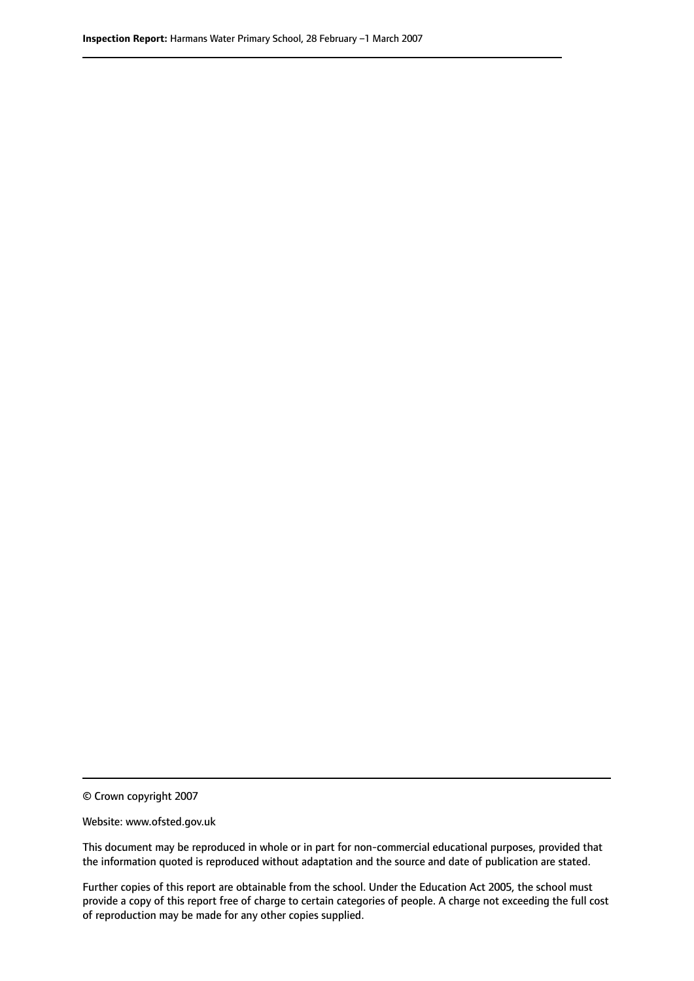© Crown copyright 2007

Website: www.ofsted.gov.uk

This document may be reproduced in whole or in part for non-commercial educational purposes, provided that the information quoted is reproduced without adaptation and the source and date of publication are stated.

Further copies of this report are obtainable from the school. Under the Education Act 2005, the school must provide a copy of this report free of charge to certain categories of people. A charge not exceeding the full cost of reproduction may be made for any other copies supplied.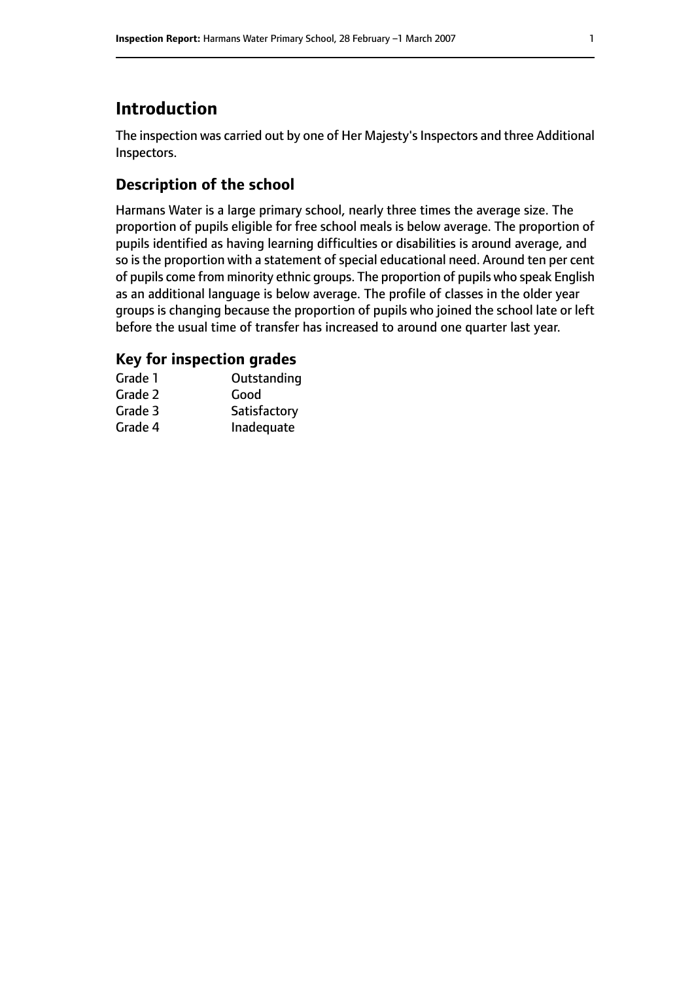# **Introduction**

The inspection was carried out by one of Her Majesty's Inspectors and three Additional Inspectors.

# **Description of the school**

Harmans Water is a large primary school, nearly three times the average size. The proportion of pupils eligible for free school meals is below average. The proportion of pupils identified as having learning difficulties or disabilities is around average, and so is the proportion with a statement of special educational need. Around ten per cent of pupils come from minority ethnic groups. The proportion of pupils who speak English as an additional language is below average. The profile of classes in the older year groups is changing because the proportion of pupils who joined the school late or left before the usual time of transfer has increased to around one quarter last year.

## **Key for inspection grades**

| Grade 1 | Outstanding  |
|---------|--------------|
| Grade 2 | Good         |
| Grade 3 | Satisfactory |
| Grade 4 | Inadequate   |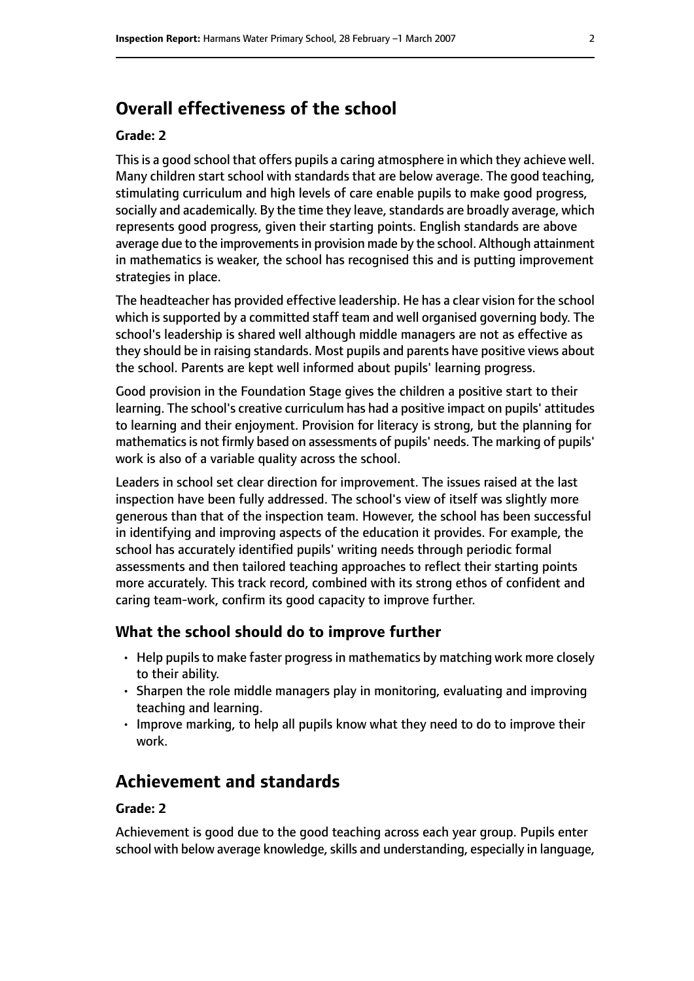# **Overall effectiveness of the school**

#### **Grade: 2**

This is a good school that offers pupils a caring atmosphere in which they achieve well. Many children start school with standards that are below average. The good teaching, stimulating curriculum and high levels of care enable pupils to make good progress, socially and academically. By the time they leave, standards are broadly average, which represents good progress, given their starting points. English standards are above average due to the improvements in provision made by the school. Although attainment in mathematics is weaker, the school has recognised this and is putting improvement strategies in place.

The headteacher has provided effective leadership. He has a clear vision for the school which is supported by a committed staff team and well organised governing body. The school's leadership is shared well although middle managers are not as effective as they should be in raising standards. Most pupils and parents have positive views about the school. Parents are kept well informed about pupils' learning progress.

Good provision in the Foundation Stage gives the children a positive start to their learning. The school's creative curriculum has had a positive impact on pupils' attitudes to learning and their enjoyment. Provision for literacy is strong, but the planning for mathematics is not firmly based on assessments of pupils' needs. The marking of pupils' work is also of a variable quality across the school.

Leaders in school set clear direction for improvement. The issues raised at the last inspection have been fully addressed. The school's view of itself was slightly more generous than that of the inspection team. However, the school has been successful in identifying and improving aspects of the education it provides. For example, the school has accurately identified pupils' writing needs through periodic formal assessments and then tailored teaching approaches to reflect their starting points more accurately. This track record, combined with its strong ethos of confident and caring team-work, confirm its good capacity to improve further.

#### **What the school should do to improve further**

- Help pupils to make faster progress in mathematics by matching work more closely to their ability.
- Sharpen the role middle managers play in monitoring, evaluating and improving teaching and learning.
- Improve marking, to help all pupils know what they need to do to improve their work.

# **Achievement and standards**

#### **Grade: 2**

Achievement is good due to the good teaching across each year group. Pupils enter school with below average knowledge, skills and understanding, especially in language,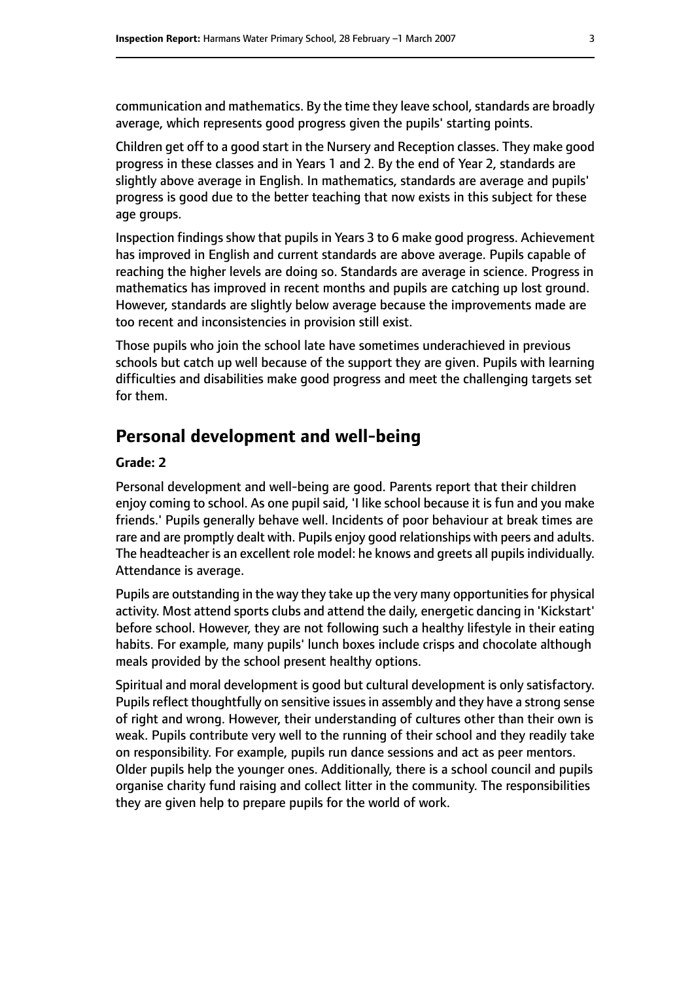communication and mathematics. By the time they leave school, standards are broadly average, which represents good progress given the pupils' starting points.

Children get off to a good start in the Nursery and Reception classes. They make good progress in these classes and in Years 1 and 2. By the end of Year 2, standards are slightly above average in English. In mathematics, standards are average and pupils' progress is good due to the better teaching that now exists in this subject for these age groups.

Inspection findings show that pupils in Years 3 to 6 make good progress. Achievement has improved in English and current standards are above average. Pupils capable of reaching the higher levels are doing so. Standards are average in science. Progress in mathematics has improved in recent months and pupils are catching up lost ground. However, standards are slightly below average because the improvements made are too recent and inconsistencies in provision still exist.

Those pupils who join the school late have sometimes underachieved in previous schools but catch up well because of the support they are given. Pupils with learning difficulties and disabilities make good progress and meet the challenging targets set for them.

# **Personal development and well-being**

#### **Grade: 2**

Personal development and well-being are good. Parents report that their children enjoy coming to school. As one pupil said, 'I like school because it is fun and you make friends.' Pupils generally behave well. Incidents of poor behaviour at break times are rare and are promptly dealt with. Pupils enjoy good relationships with peers and adults. The headteacher is an excellent role model: he knows and greets all pupils individually. Attendance is average.

Pupils are outstanding in the way they take up the very many opportunities for physical activity. Most attend sports clubs and attend the daily, energetic dancing in 'Kickstart' before school. However, they are not following such a healthy lifestyle in their eating habits. For example, many pupils' lunch boxes include crisps and chocolate although meals provided by the school present healthy options.

Spiritual and moral development is good but cultural development is only satisfactory. Pupils reflect thoughtfully on sensitive issues in assembly and they have a strong sense of right and wrong. However, their understanding of cultures other than their own is weak. Pupils contribute very well to the running of their school and they readily take on responsibility. For example, pupils run dance sessions and act as peer mentors. Older pupils help the younger ones. Additionally, there is a school council and pupils organise charity fund raising and collect litter in the community. The responsibilities they are given help to prepare pupils for the world of work.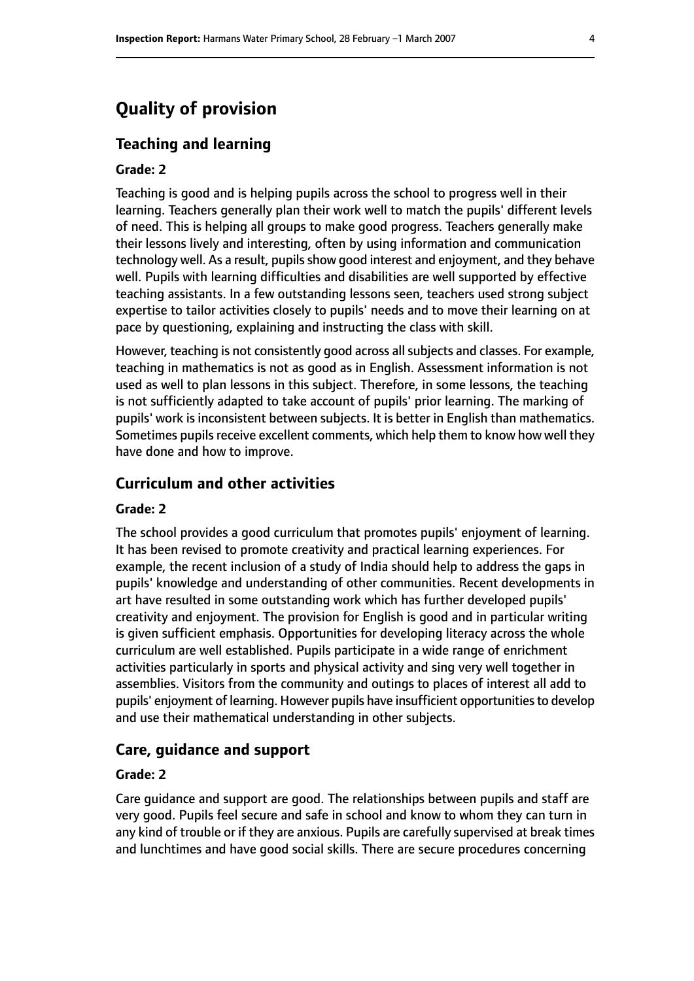# **Quality of provision**

#### **Teaching and learning**

#### **Grade: 2**

Teaching is good and is helping pupils across the school to progress well in their learning. Teachers generally plan their work well to match the pupils' different levels of need. This is helping all groups to make good progress. Teachers generally make their lessons lively and interesting, often by using information and communication technology well. As a result, pupils show good interest and enjoyment, and they behave well. Pupils with learning difficulties and disabilities are well supported by effective teaching assistants. In a few outstanding lessons seen, teachers used strong subject expertise to tailor activities closely to pupils' needs and to move their learning on at pace by questioning, explaining and instructing the class with skill.

However, teaching is not consistently good across all subjects and classes. For example, teaching in mathematics is not as good as in English. Assessment information is not used as well to plan lessons in this subject. Therefore, in some lessons, the teaching is not sufficiently adapted to take account of pupils' prior learning. The marking of pupils' work is inconsistent between subjects. It is better in English than mathematics. Sometimes pupils receive excellent comments, which help them to know how well they have done and how to improve.

#### **Curriculum and other activities**

#### **Grade: 2**

The school provides a good curriculum that promotes pupils' enjoyment of learning. It has been revised to promote creativity and practical learning experiences. For example, the recent inclusion of a study of India should help to address the gaps in pupils' knowledge and understanding of other communities. Recent developments in art have resulted in some outstanding work which has further developed pupils' creativity and enjoyment. The provision for English is good and in particular writing is given sufficient emphasis. Opportunities for developing literacy across the whole curriculum are well established. Pupils participate in a wide range of enrichment activities particularly in sports and physical activity and sing very well together in assemblies. Visitors from the community and outings to places of interest all add to pupils' enjoyment of learning. However pupils have insufficient opportunities to develop and use their mathematical understanding in other subjects.

#### **Care, guidance and support**

#### **Grade: 2**

Care guidance and support are good. The relationships between pupils and staff are very good. Pupils feel secure and safe in school and know to whom they can turn in any kind of trouble or if they are anxious. Pupils are carefully supervised at break times and lunchtimes and have good social skills. There are secure procedures concerning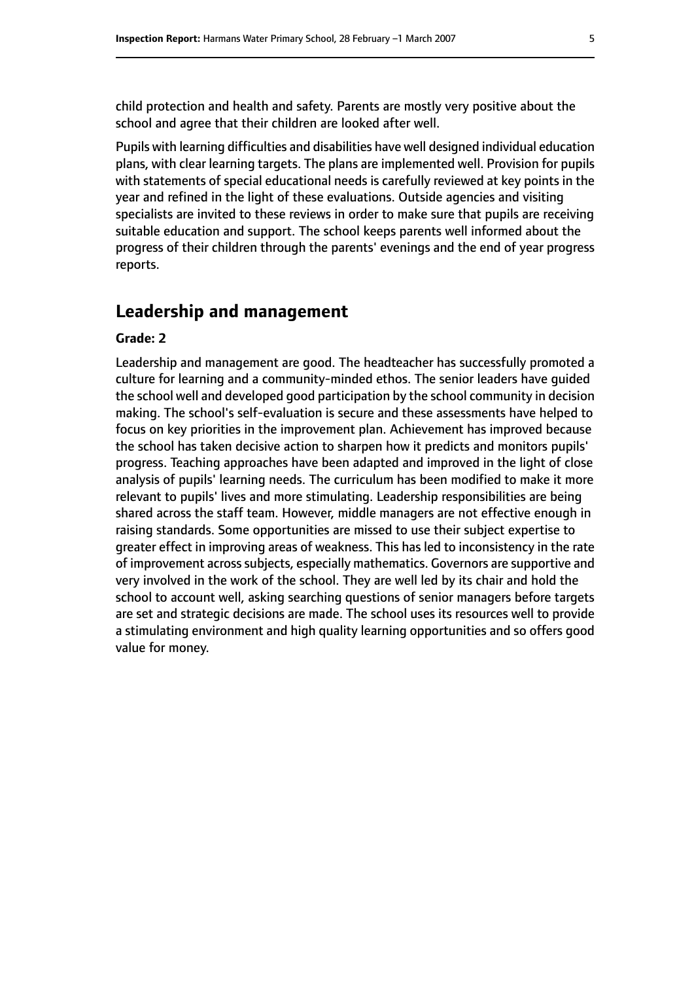child protection and health and safety. Parents are mostly very positive about the school and agree that their children are looked after well.

Pupils with learning difficulties and disabilities have well designed individual education plans, with clear learning targets. The plans are implemented well. Provision for pupils with statements of special educational needs is carefully reviewed at key points in the year and refined in the light of these evaluations. Outside agencies and visiting specialists are invited to these reviews in order to make sure that pupils are receiving suitable education and support. The school keeps parents well informed about the progress of their children through the parents' evenings and the end of year progress reports.

### **Leadership and management**

#### **Grade: 2**

Leadership and management are good. The headteacher has successfully promoted a culture for learning and a community-minded ethos. The senior leaders have guided the school well and developed good participation by the school community in decision making. The school's self-evaluation is secure and these assessments have helped to focus on key priorities in the improvement plan. Achievement has improved because the school has taken decisive action to sharpen how it predicts and monitors pupils' progress. Teaching approaches have been adapted and improved in the light of close analysis of pupils' learning needs. The curriculum has been modified to make it more relevant to pupils' lives and more stimulating. Leadership responsibilities are being shared across the staff team. However, middle managers are not effective enough in raising standards. Some opportunities are missed to use their subject expertise to greater effect in improving areas of weakness. This has led to inconsistency in the rate of improvement across subjects, especially mathematics. Governors are supportive and very involved in the work of the school. They are well led by its chair and hold the school to account well, asking searching questions of senior managers before targets are set and strategic decisions are made. The school uses its resources well to provide a stimulating environment and high quality learning opportunities and so offers good value for money.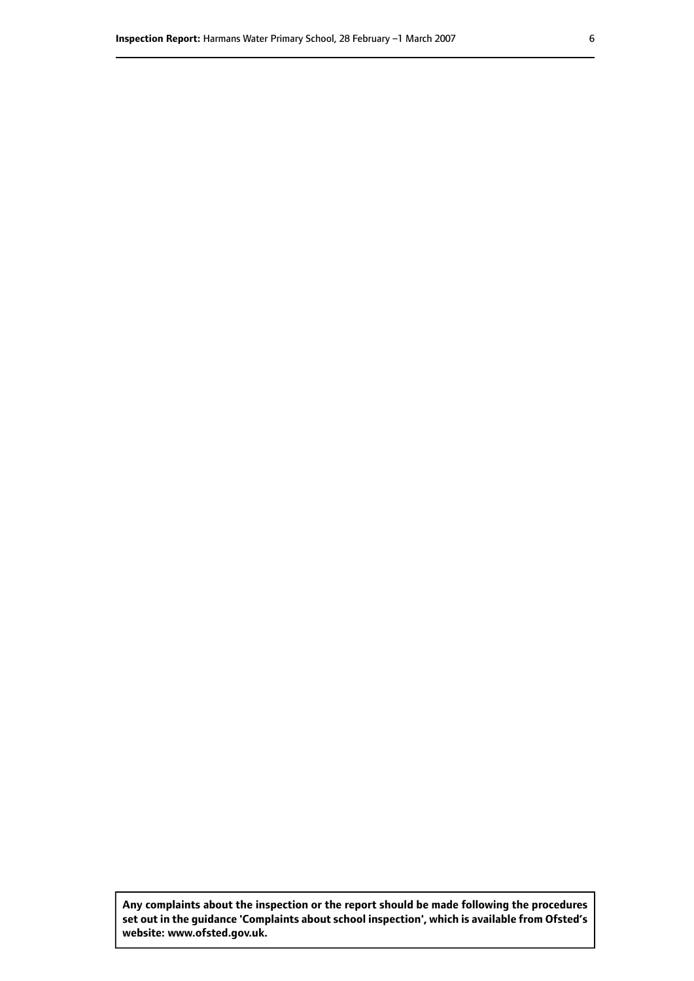**Any complaints about the inspection or the report should be made following the procedures set out inthe guidance 'Complaints about school inspection', whichis available from Ofsted's website: www.ofsted.gov.uk.**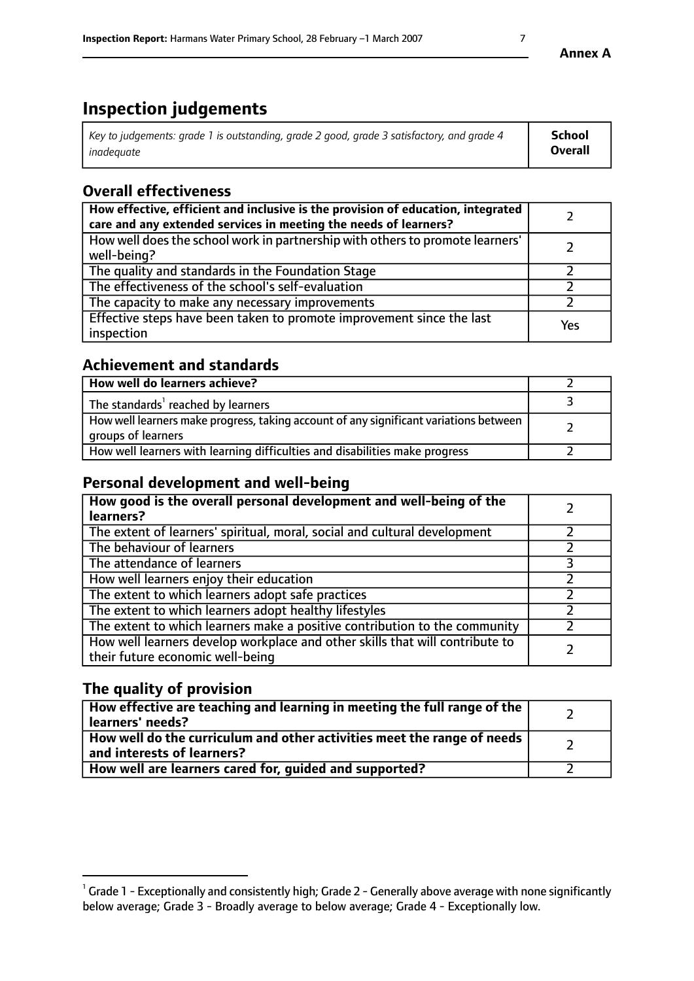# **Inspection judgements**

| Key to judgements: grade 1 is outstanding, grade 2 good, grade 3 satisfactory, and grade 4 | School         |
|--------------------------------------------------------------------------------------------|----------------|
| inadeauate                                                                                 | <b>Overall</b> |

# **Overall effectiveness**

| How effective, efficient and inclusive is the provision of education, integrated<br>care and any extended services in meeting the needs of learners? |     |
|------------------------------------------------------------------------------------------------------------------------------------------------------|-----|
| How well does the school work in partnership with others to promote learners'<br>well-being?                                                         |     |
| The quality and standards in the Foundation Stage                                                                                                    |     |
| The effectiveness of the school's self-evaluation                                                                                                    |     |
| The capacity to make any necessary improvements                                                                                                      |     |
| Effective steps have been taken to promote improvement since the last<br>inspection                                                                  | Yes |

## **Achievement and standards**

| How well do learners achieve?                                                                               |  |
|-------------------------------------------------------------------------------------------------------------|--|
| The standards <sup>1</sup> reached by learners                                                              |  |
| How well learners make progress, taking account of any significant variations between<br>groups of learners |  |
| How well learners with learning difficulties and disabilities make progress                                 |  |

## **Personal development and well-being**

| How good is the overall personal development and well-being of the<br>learners?                                  |  |
|------------------------------------------------------------------------------------------------------------------|--|
| The extent of learners' spiritual, moral, social and cultural development                                        |  |
| The behaviour of learners                                                                                        |  |
| The attendance of learners                                                                                       |  |
| How well learners enjoy their education                                                                          |  |
| The extent to which learners adopt safe practices                                                                |  |
| The extent to which learners adopt healthy lifestyles                                                            |  |
| The extent to which learners make a positive contribution to the community                                       |  |
| How well learners develop workplace and other skills that will contribute to<br>their future economic well-being |  |

## **The quality of provision**

| How effective are teaching and learning in meeting the full range of the<br>  learners' needs?                      |  |
|---------------------------------------------------------------------------------------------------------------------|--|
| $\mid$ How well do the curriculum and other activities meet the range of needs<br>$\mid$ and interests of learners? |  |
| How well are learners cared for, guided and supported?                                                              |  |

 $^1$  Grade 1 - Exceptionally and consistently high; Grade 2 - Generally above average with none significantly below average; Grade 3 - Broadly average to below average; Grade 4 - Exceptionally low.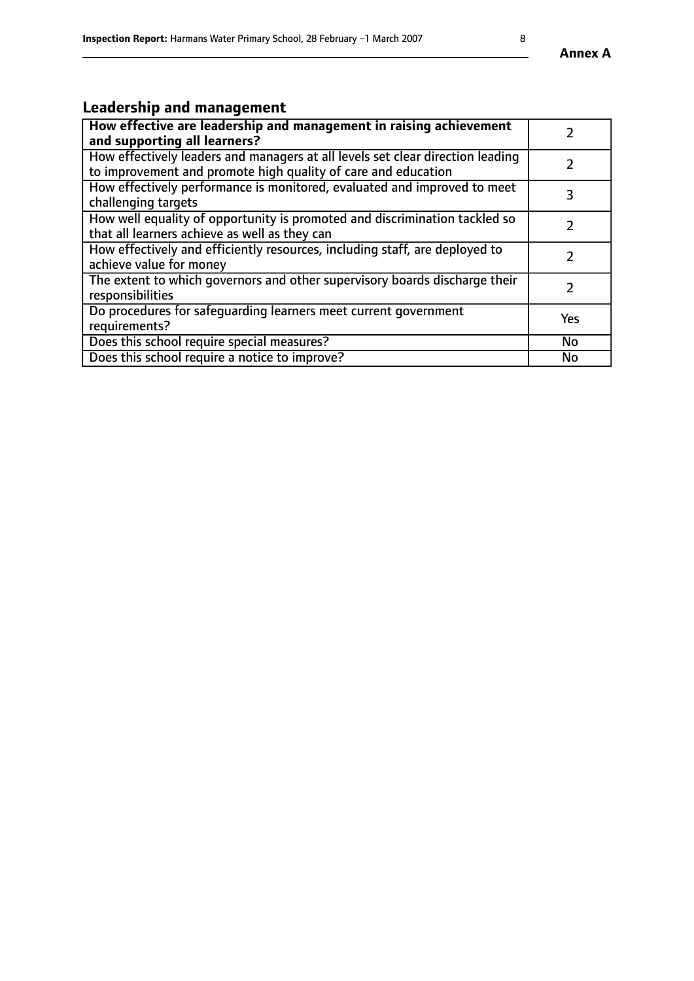# **Leadership and management**

| How effective are leadership and management in raising achievement<br>and supporting all learners?                                              |               |
|-------------------------------------------------------------------------------------------------------------------------------------------------|---------------|
| How effectively leaders and managers at all levels set clear direction leading<br>to improvement and promote high quality of care and education |               |
| How effectively performance is monitored, evaluated and improved to meet<br>challenging targets                                                 | 3             |
| How well equality of opportunity is promoted and discrimination tackled so<br>that all learners achieve as well as they can                     |               |
| How effectively and efficiently resources, including staff, are deployed to<br>achieve value for money                                          | $\mathcal{P}$ |
| The extent to which governors and other supervisory boards discharge their<br>responsibilities                                                  |               |
| Do procedures for safequarding learners meet current government<br>requirements?                                                                | Yes           |
| Does this school require special measures?                                                                                                      | No            |
| Does this school require a notice to improve?                                                                                                   | <b>No</b>     |